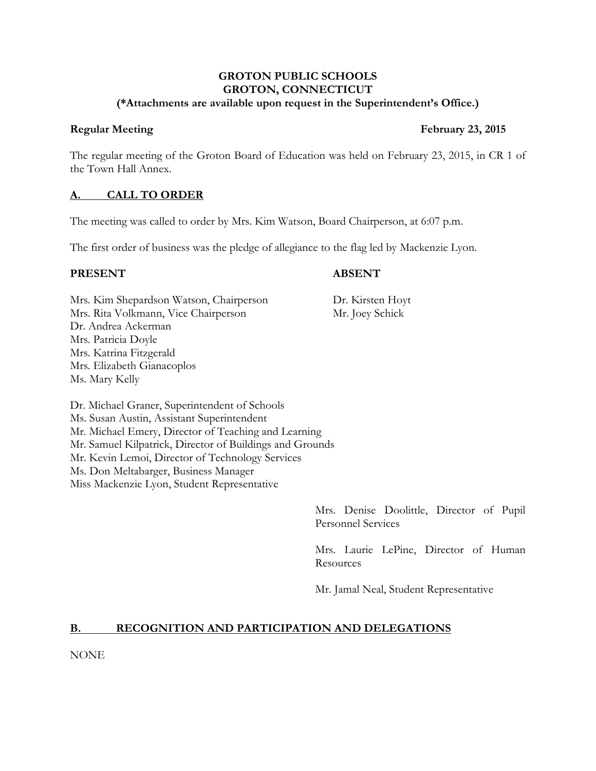#### **GROTON PUBLIC SCHOOLS GROTON, CONNECTICUT (\*Attachments are available upon request in the Superintendent's Office.)**

The regular meeting of the Groton Board of Education was held on February 23, 2015, in CR 1 of the Town Hall Annex.

# **A. CALL TO ORDER**

The meeting was called to order by Mrs. Kim Watson, Board Chairperson, at 6:07 p.m.

The first order of business was the pledge of allegiance to the flag led by Mackenzie Lyon.

#### **PRESENT ABSENT**

Mrs. Kim Shepardson Watson, Chairperson Dr. Kirsten Hoyt Mrs. Rita Volkmann, Vice Chairperson Mr. Joey Schick Dr. Andrea Ackerman Mrs. Patricia Doyle Mrs. Katrina Fitzgerald Mrs. Elizabeth Gianacoplos Ms. Mary Kelly

Dr. Michael Graner, Superintendent of Schools Ms. Susan Austin, Assistant Superintendent Mr. Michael Emery, Director of Teaching and Learning Mr. Samuel Kilpatrick, Director of Buildings and Grounds Mr. Kevin Lemoi, Director of Technology Services Ms. Don Meltabarger, Business Manager Miss Mackenzie Lyon, Student Representative

> Mrs. Denise Doolittle, Director of Pupil Personnel Services

> Mrs. Laurie LePine, Director of Human Resources

Mr. Jamal Neal, Student Representative

# **B. RECOGNITION AND PARTICIPATION AND DELEGATIONS**

NONE

# **Regular Meeting February 23, 2015**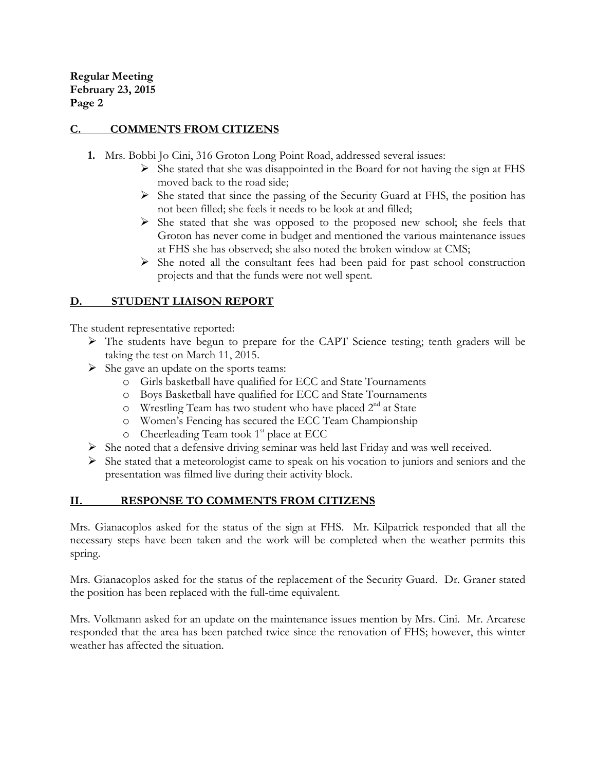# **C. COMMENTS FROM CITIZENS**

- **1.** Mrs. Bobbi Jo Cini, 316 Groton Long Point Road, addressed several issues:
	- $\triangleright$  She stated that she was disappointed in the Board for not having the sign at FHS moved back to the road side;
	- $\triangleright$  She stated that since the passing of the Security Guard at FHS, the position has not been filled; she feels it needs to be look at and filled;
	- $\triangleright$  She stated that she was opposed to the proposed new school; she feels that Groton has never come in budget and mentioned the various maintenance issues at FHS she has observed; she also noted the broken window at CMS;
	- $\triangleright$  She noted all the consultant fees had been paid for past school construction projects and that the funds were not well spent.

# **D. STUDENT LIAISON REPORT**

The student representative reported:

- The students have begun to prepare for the CAPT Science testing; tenth graders will be taking the test on March 11, 2015.
- $\triangleright$  She gave an update on the sports teams:
	- o Girls basketball have qualified for ECC and State Tournaments
	- o Boys Basketball have qualified for ECC and State Tournaments
	- o Wrestling Team has two student who have placed 2nd at State
	- o Women's Fencing has secured the ECC Team Championship
	- $\circ$  Cheerleading Team took 1<sup>st</sup> place at ECC
- $\triangleright$  She noted that a defensive driving seminar was held last Friday and was well received.
- $\triangleright$  She stated that a meteorologist came to speak on his vocation to juniors and seniors and the presentation was filmed live during their activity block.

# **II. RESPONSE TO COMMENTS FROM CITIZENS**

Mrs. Gianacoplos asked for the status of the sign at FHS. Mr. Kilpatrick responded that all the necessary steps have been taken and the work will be completed when the weather permits this spring.

Mrs. Gianacoplos asked for the status of the replacement of the Security Guard. Dr. Graner stated the position has been replaced with the full-time equivalent.

Mrs. Volkmann asked for an update on the maintenance issues mention by Mrs. Cini. Mr. Arcarese responded that the area has been patched twice since the renovation of FHS; however, this winter weather has affected the situation.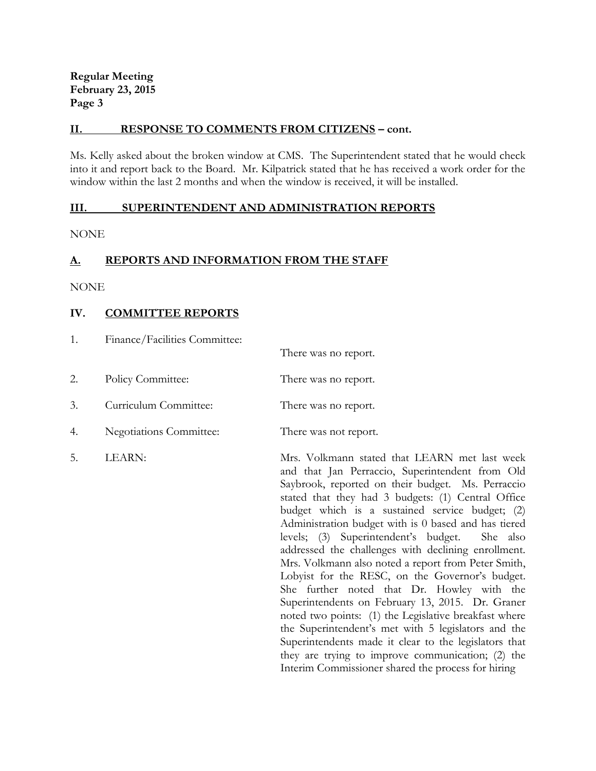#### **II. RESPONSE TO COMMENTS FROM CITIZENS – cont.**

Ms. Kelly asked about the broken window at CMS. The Superintendent stated that he would check into it and report back to the Board. Mr. Kilpatrick stated that he has received a work order for the window within the last 2 months and when the window is received, it will be installed.

#### **III. SUPERINTENDENT AND ADMINISTRATION REPORTS**

NONE

# **A. REPORTS AND INFORMATION FROM THE STAFF**

NONE

# **IV. COMMITTEE REPORTS**

| 1. | Finance/Facilities Committee: |                       |
|----|-------------------------------|-----------------------|
|    |                               | There was no report.  |
| 2. | Policy Committee:             | There was no report.  |
| 3. | Curriculum Committee:         | There was no report.  |
| 4. | Negotiations Committee:       | There was not report. |

5. LEARN: Mrs. Volkmann stated that LEARN met last week and that Jan Perraccio, Superintendent from Old Saybrook, reported on their budget. Ms. Perraccio stated that they had 3 budgets: (1) Central Office budget which is a sustained service budget; (2) Administration budget with is 0 based and has tiered levels; (3) Superintendent's budget. She also addressed the challenges with declining enrollment. Mrs. Volkmann also noted a report from Peter Smith, Lobyist for the RESC, on the Governor's budget. She further noted that Dr. Howley with the Superintendents on February 13, 2015. Dr. Graner noted two points: (1) the Legislative breakfast where the Superintendent's met with 5 legislators and the Superintendents made it clear to the legislators that they are trying to improve communication; (2) the Interim Commissioner shared the process for hiring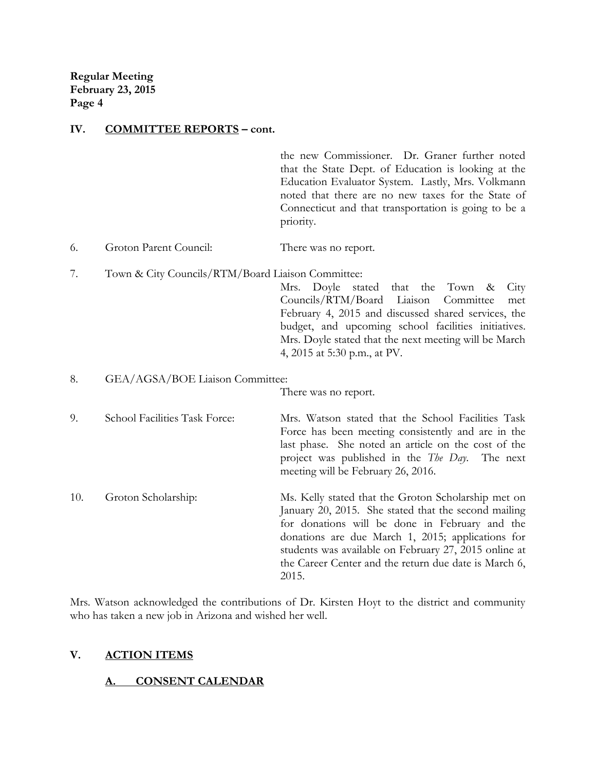#### **IV. COMMITTEE REPORTS – cont.**

the new Commissioner. Dr. Graner further noted that the State Dept. of Education is looking at the Education Evaluator System. Lastly, Mrs. Volkmann noted that there are no new taxes for the State of Connecticut and that transportation is going to be a priority.

- 6. Groton Parent Council: There was no report.
- 7. Town & City Councils/RTM/Board Liaison Committee:

Mrs. Doyle stated that the Town & City Councils/RTM/Board Liaison Committee met February 4, 2015 and discussed shared services, the budget, and upcoming school facilities initiatives. Mrs. Doyle stated that the next meeting will be March 4, 2015 at 5:30 p.m., at PV.

8. GEA/AGSA/BOE Liaison Committee:

There was no report.

9. School Facilities Task Force: Mrs. Watson stated that the School Facilities Task Force has been meeting consistently and are in the last phase. She noted an article on the cost of the project was published in the *The Day*. The next meeting will be February 26, 2016.

10. Groton Scholarship: Ms. Kelly stated that the Groton Scholarship met on January 20, 2015. She stated that the second mailing for donations will be done in February and the donations are due March 1, 2015; applications for students was available on February 27, 2015 online at the Career Center and the return due date is March 6, 2015.

Mrs. Watson acknowledged the contributions of Dr. Kirsten Hoyt to the district and community who has taken a new job in Arizona and wished her well.

#### **V. ACTION ITEMS**

# **A. CONSENT CALENDAR**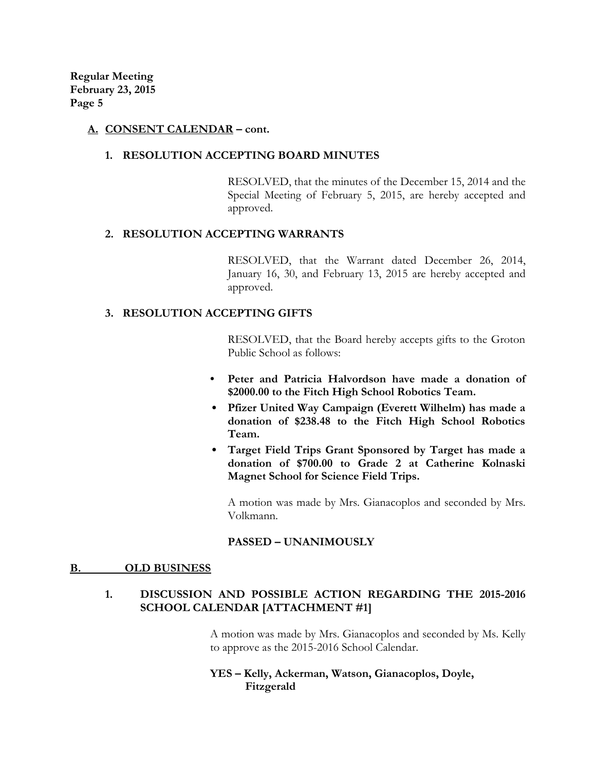## **A. CONSENT CALENDAR – cont.**

#### **1. RESOLUTION ACCEPTING BOARD MINUTES**

RESOLVED, that the minutes of the December 15, 2014 and the Special Meeting of February 5, 2015, are hereby accepted and approved.

#### **2. RESOLUTION ACCEPTING WARRANTS**

RESOLVED, that the Warrant dated December 26, 2014, January 16, 30, and February 13, 2015 are hereby accepted and approved.

# **3. RESOLUTION ACCEPTING GIFTS**

RESOLVED, that the Board hereby accepts gifts to the Groton Public School as follows:

- **• Peter and Patricia Halvordson have made a donation of \$2000.00 to the Fitch High School Robotics Team.**
- **Pfizer United Way Campaign (Everett Wilhelm) has made a donation of \$238.48 to the Fitch High School Robotics Team.**
- **Target Field Trips Grant Sponsored by Target has made a donation of \$700.00 to Grade 2 at Catherine Kolnaski Magnet School for Science Field Trips.**

A motion was made by Mrs. Gianacoplos and seconded by Mrs. Volkmann.

#### **PASSED – UNANIMOUSLY**

#### **B. OLD BUSINESS**

# **1. DISCUSSION AND POSSIBLE ACTION REGARDING THE 2015-2016 SCHOOL CALENDAR [ATTACHMENT #1]**

A motion was made by Mrs. Gianacoplos and seconded by Ms. Kelly to approve as the 2015-2016 School Calendar.

**YES – Kelly, Ackerman, Watson, Gianacoplos, Doyle, Fitzgerald**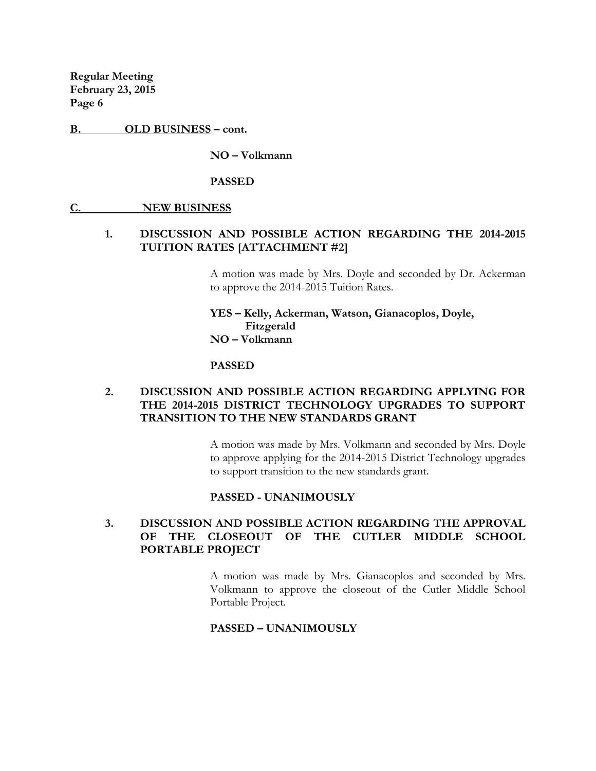**B. OLD BUSINESS – cont.**

**NO – Volkmann**

**PASSED** 

#### **C. NEW BUSINESS**

#### **1. DISCUSSION AND POSSIBLE ACTION REGARDING THE 2014-2015 TUITION RATES [ATTACHMENT #2]**

A motion was made by Mrs. Doyle and seconded by Dr. Ackerman to approve the 2014-2015 Tuition Rates.

**YES – Kelly, Ackerman, Watson, Gianacoplos, Doyle, Fitzgerald NO – Volkmann**

#### **PASSED**

# **2. DISCUSSION AND POSSIBLE ACTION REGARDING APPLYING FOR THE 2014-2015 DISTRICT TECHNOLOGY UPGRADES TO SUPPORT TRANSITION TO THE NEW STANDARDS GRANT**

A motion was made by Mrs. Volkmann and seconded by Mrs. Doyle to approve applying for the 2014-2015 District Technology upgrades to support transition to the new standards grant.

#### **PASSED - UNANIMOUSLY**

# **3. DISCUSSION AND POSSIBLE ACTION REGARDING THE APPROVAL OF THE CLOSEOUT OF THE CUTLER MIDDLE SCHOOL PORTABLE PROJECT**

A motion was made by Mrs. Gianacoplos and seconded by Mrs. Volkmann to approve the closeout of the Cutler Middle School Portable Project.

#### **PASSED – UNANIMOUSLY**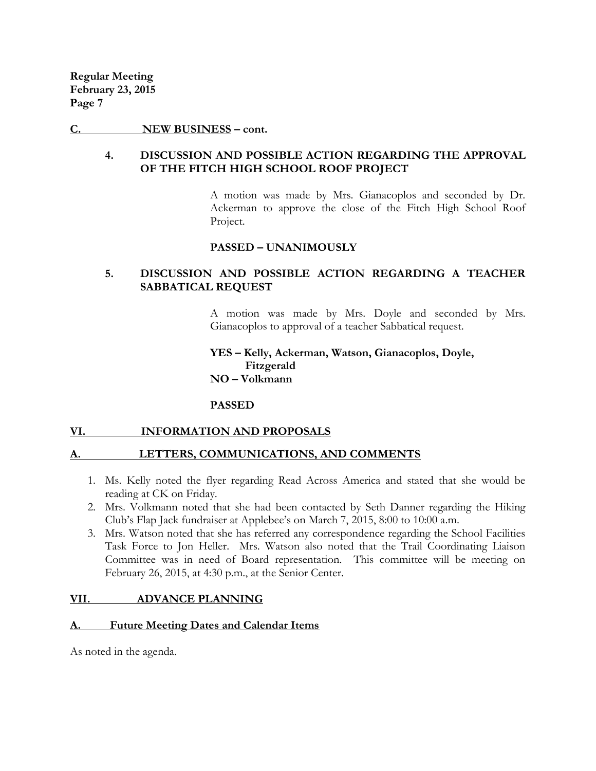#### **C. NEW BUSINESS – cont.**

## **4. DISCUSSION AND POSSIBLE ACTION REGARDING THE APPROVAL OF THE FITCH HIGH SCHOOL ROOF PROJECT**

A motion was made by Mrs. Gianacoplos and seconded by Dr. Ackerman to approve the close of the Fitch High School Roof Project.

#### **PASSED – UNANIMOUSLY**

# **5. DISCUSSION AND POSSIBLE ACTION REGARDING A TEACHER SABBATICAL REQUEST**

A motion was made by Mrs. Doyle and seconded by Mrs. Gianacoplos to approval of a teacher Sabbatical request.

**YES – Kelly, Ackerman, Watson, Gianacoplos, Doyle, Fitzgerald NO – Volkmann**

#### **PASSED**

#### **VI. INFORMATION AND PROPOSALS**

#### LETTERS, COMMUNICATIONS, AND COMMENTS

- 1. Ms. Kelly noted the flyer regarding Read Across America and stated that she would be reading at CK on Friday.
- 2. Mrs. Volkmann noted that she had been contacted by Seth Danner regarding the Hiking Club's Flap Jack fundraiser at Applebee's on March 7, 2015, 8:00 to 10:00 a.m.
- 3. Mrs. Watson noted that she has referred any correspondence regarding the School Facilities Task Force to Jon Heller. Mrs. Watson also noted that the Trail Coordinating Liaison Committee was in need of Board representation. This committee will be meeting on February 26, 2015, at 4:30 p.m., at the Senior Center.

#### **VII. ADVANCE PLANNING**

# **A. Future Meeting Dates and Calendar Items**

As noted in the agenda.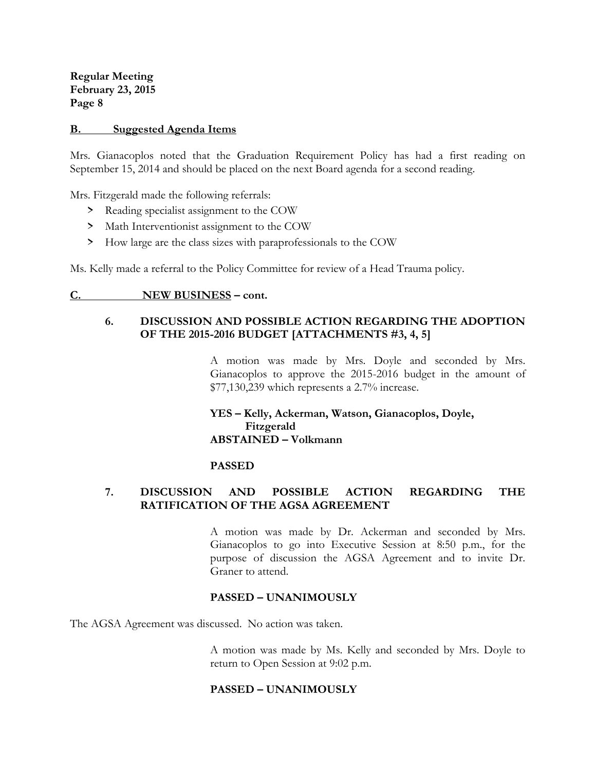#### **B. Suggested Agenda Items**

Mrs. Gianacoplos noted that the Graduation Requirement Policy has had a first reading on September 15, 2014 and should be placed on the next Board agenda for a second reading.

Mrs. Fitzgerald made the following referrals:

- > Reading specialist assignment to the COW
- > Math Interventionist assignment to the COW
- > How large are the class sizes with paraprofessionals to the COW

Ms. Kelly made a referral to the Policy Committee for review of a Head Trauma policy.

#### **C. NEW BUSINESS – cont.**

# **6. DISCUSSION AND POSSIBLE ACTION REGARDING THE ADOPTION OF THE 2015-2016 BUDGET [ATTACHMENTS #3, 4, 5]**

A motion was made by Mrs. Doyle and seconded by Mrs. Gianacoplos to approve the 2015-2016 budget in the amount of \$77,130,239 which represents a 2.7% increase.

# **YES – Kelly, Ackerman, Watson, Gianacoplos, Doyle, Fitzgerald ABSTAINED – Volkmann**

#### **PASSED**

# **7. DISCUSSION AND POSSIBLE ACTION REGARDING THE RATIFICATION OF THE AGSA AGREEMENT**

A motion was made by Dr. Ackerman and seconded by Mrs. Gianacoplos to go into Executive Session at 8:50 p.m., for the purpose of discussion the AGSA Agreement and to invite Dr. Graner to attend.

# **PASSED – UNANIMOUSLY**

The AGSA Agreement was discussed. No action was taken.

A motion was made by Ms. Kelly and seconded by Mrs. Doyle to return to Open Session at 9:02 p.m.

#### **PASSED – UNANIMOUSLY**